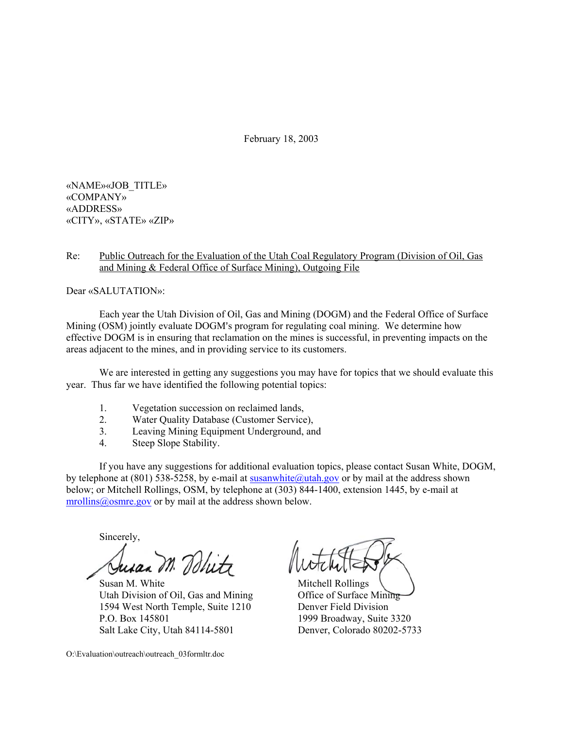February 18, 2003

«NAME»«JOB\_TITLE» «COMPANY» «ADDRESS» «CITY», «STATE» «ZIP»

## Re: Public Outreach for the Evaluation of the Utah Coal Regulatory Program (Division of Oil, Gas and Mining & Federal Office of Surface Mining), Outgoing File

Dear «SALUTATION»:

Each year the Utah Division of Oil, Gas and Mining (DOGM) and the Federal Office of Surface Mining (OSM) jointly evaluate DOGM's program for regulating coal mining. We determine how effective DOGM is in ensuring that reclamation on the mines is successful, in preventing impacts on the areas adjacent to the mines, and in providing service to its customers.

We are interested in getting any suggestions you may have for topics that we should evaluate this year. Thus far we have identified the following potential topics:

- 1. Vegetation succession on reclaimed lands,
- 2. Water Quality Database (Customer Service),
- 3. Leaving Mining Equipment Underground, and
- 4. Steep Slope Stability.

If you have any suggestions for additional evaluation topics, please contact Susan White, DOGM, by telephone at (801) 538-5258, by e-mail at susanwhite  $\omega$  utah gov or by mail at the address shown below; or Mitchell Rollings, OSM, by telephone at (303) 844-1400, extension 1445, by e-mail at [mrollins@osmre.gov](mailto:mrollins@osmre.gov) or by mail at the address shown below.

Sincerely,

usan M. Dolitz

Susan M. White Mitchell Rollings Utah Division of Oil, Gas and Mining Office of Surface Mining 1594 West North Temple, Suite 1210 Denver Field Division P.O. Box 145801 1999 Broadway, Suite 3320 Salt Lake City, Utah 84114-5801 Denver, Colorado 80202-5733

O:\Evaluation\outreach\outreach\_03formltr.doc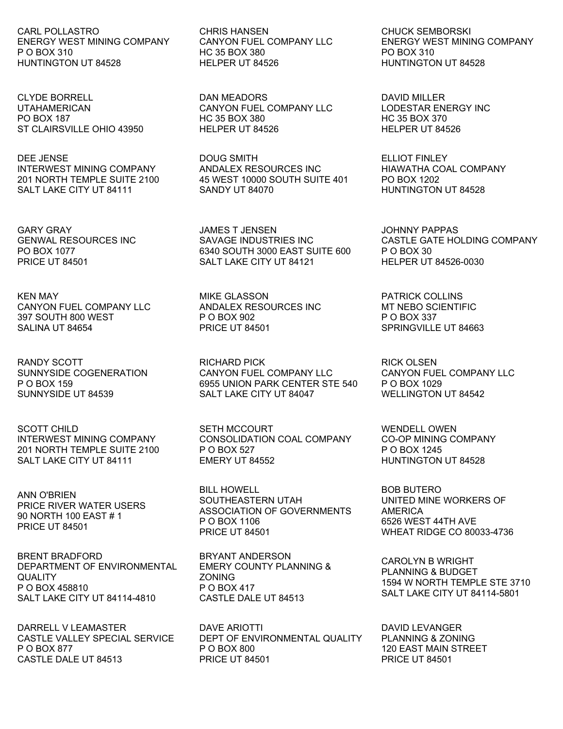CARL POLLASTRO ENERGY WEST MINING COMPANY P O BOX 310 HUNTINGTON UT 84528

CLYDE BORRELL UTAHAMERICAN PO BOX 187 ST CLAIRSVILLE OHIO 43950

DEE JENSE INTERWEST MINING COMPANY 201 NORTH TEMPLE SUITE 2100 SALT LAKE CITY UT 84111

GARY GRAY GENWAL RESOURCES INC PO BOX 1077 PRICE UT 84501

KEN MAY CANYON FUEL COMPANY LLC 397 SOUTH 800 WEST SALINA UT 84654

RANDY SCOTT SUNNYSIDE COGENERATION P O BOX 159 SUNNYSIDE UT 84539

SCOTT CHILD INTERWEST MINING COMPANY 201 NORTH TEMPLE SUITE 2100 SALT LAKE CITY UT 84111

ANN O'BRIEN PRICE RIVER WATER USERS 90 NORTH 100 EAST # 1 PRICE UT 84501

BRENT BRADFORD DEPARTMENT OF ENVIRONMENTAL **QUALITY** P O BOX 458810 SALT LAKE CITY UT 84114-4810

DARRELL V LEAMASTER CASTLE VALLEY SPECIAL SERVICE P O BOX 877 CASTLE DALE UT 84513

CHRIS HANSEN CANYON FUEL COMPANY LLC HC 35 BOX 380 HELPER UT 84526

DAN MEADORS CANYON FUEL COMPANY LLC HC 35 BOX 380 HELPER UT 84526

DOUG SMITH ANDALEX RESOURCES INC 45 WEST 10000 SOUTH SUITE 401 SANDY UT 84070

JAMES T JENSEN SAVAGE INDUSTRIES INC 6340 SOUTH 3000 EAST SUITE 600 SALT LAKE CITY UT 84121

MIKE GLASSON ANDALEX RESOURCES INC P O BOX 902 PRICE UT 84501

RICHARD PICK CANYON FUEL COMPANY LLC 6955 UNION PARK CENTER STE 540 SALT LAKE CITY UT 84047

SETH MCCOURT CONSOLIDATION COAL COMPANY P O BOX 527 EMERY UT 84552

BILL HOWELL SOUTHEASTERN UTAH ASSOCIATION OF GOVERNMENTS P O BOX 1106 PRICE UT 84501

BRYANT ANDERSON EMERY COUNTY PLANNING & ZONING P O BOX 417 CASTLE DALE UT 84513

DAVE ARIOTTI DEPT OF ENVIRONMENTAL QUALITY P O BOX 800 PRICE UT 84501

CHUCK SEMBORSKI ENERGY WEST MINING COMPANY PO BOX 310 HUNTINGTON UT 84528

DAVID MILLER LODESTAR ENERGY INC HC 35 BOX 370 HELPER UT 84526

ELLIOT FINLEY HIAWATHA COAL COMPANY PO BOX 1202 HUNTINGTON UT 84528

JOHNNY PAPPAS CASTLE GATE HOLDING COMPANY P O BOX 30 HELPER UT 84526-0030

PATRICK COLLINS MT NEBO SCIENTIFIC P O BOX 337 SPRINGVILLE UT 84663

RICK OLSEN CANYON FUEL COMPANY LLC P O BOX 1029 WELLINGTON UT 84542

WENDELL OWEN CO-OP MINING COMPANY P O BOX 1245 HUNTINGTON UT 84528

BOB BUTERO UNITED MINE WORKERS OF AMERICA 6526 WEST 44TH AVE WHEAT RIDGE CO 80033-4736

CAROLYN B WRIGHT PLANNING & BUDGET 1594 W NORTH TEMPLE STE 3710 SALT LAKE CITY UT 84114-5801

DAVID LEVANGER PLANNING & ZONING 120 EAST MAIN STREET PRICE UT 84501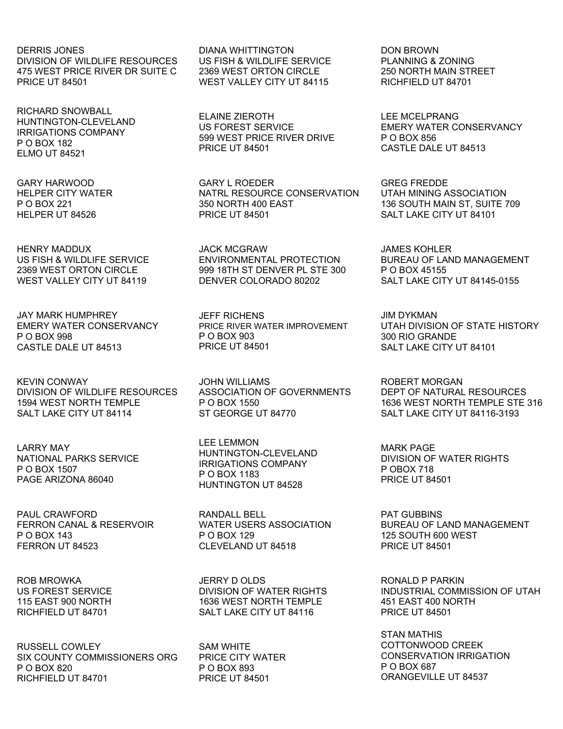DERRIS JONES DIVISION OF WILDLIFE RESOURCES 475 WEST PRICE RIVER DR SUITE C PRICE UT 84501

RICHARD SNOWBALL HUNTINGTON-CLEVELAND IRRIGATIONS COMPANY P O BOX 182 ELMO UT 84521

GARY HARWOOD HELPER CITY WATER P O BOX 221 HELPER UT 84526

HENRY MADDUX US FISH & WILDLIFE SERVICE 2369 WEST ORTON CIRCLE WEST VALLEY CITY UT 84119

JAY MARK HUMPHREY EMERY WATER CONSERVANCY P O BOX 998 CASTLE DALE UT 84513

KEVIN CONWAY DIVISION OF WILDLIFE RESOURCES 1594 WEST NORTH TEMPLE SALT LAKE CITY UT 84114

LARRY MAY NATIONAL PARKS SERVICE P O BOX 1507 PAGE ARIZONA 86040

PAUL CRAWFORD FERRON CANAL & RESERVOIR P O BOX 143 FERRON UT 84523

ROB MROWKA US FOREST SERVICE 115 EAST 900 NORTH RICHFIELD UT 84701

RUSSELL COWLEY SIX COUNTY COMMISSIONERS ORG P O BOX 820 RICHFIELD UT 84701

DIANA WHITTINGTON US FISH & WILDLIFE SERVICE 2369 WEST ORTON CIRCLE WEST VALLEY CITY UT 84115

ELAINE ZIEROTH US FOREST SERVICE 599 WEST PRICE RIVER DRIVE PRICE UT 84501

GARY L ROEDER NATRL RESOURCE CONSERVATION 350 NORTH 400 EAST PRICE UT 84501

JACK MCGRAW ENVIRONMENTAL PROTECTION 999 18TH ST DENVER PL STE 300 DENVER COLORADO 80202

JEFF RICHENS PRICE RIVER WATER IMPROVEMENT P O BOX 903 PRICE UT 84501

JOHN WILLIAMS ASSOCIATION OF GOVERNMENTS P O BOX 1550 ST GEORGE UT 84770

LEE LEMMON HUNTINGTON-CLEVELAND IRRIGATIONS COMPANY P O BOX 1183 HUNTINGTON UT 84528

RANDALL BELL WATER USERS ASSOCIATION P O BOX 129 CLEVELAND UT 84518

JERRY D OLDS DIVISION OF WATER RIGHTS 1636 WEST NORTH TEMPLE SALT LAKE CITY UT 84116

SAM WHITE PRICE CITY WATER P O BOX 893 PRICE UT 84501

DON BROWN PLANNING & ZONING 250 NORTH MAIN STREET RICHFIELD UT 84701

LEE MCELPRANG EMERY WATER CONSERVANCY P O BOX 856 CASTLE DALE UT 84513

GREG FREDDE UTAH MINING ASSOCIATION 136 SOUTH MAIN ST, SUITE 709 SALT LAKE CITY UT 84101

JAMES KOHLER BUREAU OF LAND MANAGEMENT P O BOX 45155 SALT LAKE CITY UT 84145-0155

JIM DYKMAN UTAH DIVISION OF STATE HISTORY 300 RIO GRANDE SALT LAKE CITY UT 84101

ROBERT MORGAN DEPT OF NATURAL RESOURCES 1636 WEST NORTH TEMPLE STE 316 SALT LAKE CITY UT 84116-3193

MARK PAGE DIVISION OF WATER RIGHTS P OBOX 718 PRICE UT 84501

PAT GUBBINS BUREAU OF LAND MANAGEMENT 125 SOUTH 600 WEST PRICE UT 84501

RONALD P PARKIN INDUSTRIAL COMMISSION OF UTAH 451 EAST 400 NORTH PRICE UT 84501

STAN MATHIS COTTONWOOD CREEK CONSERVATION IRRIGATION P O BOX 687 ORANGEVILLE UT 84537